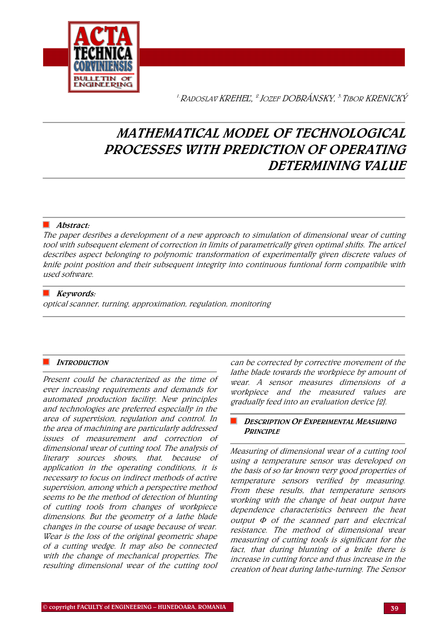

1.RADOSLAV KREHE*Ľ,* 2.JOZEF DOBRÁNSKY, 3. <sup>T</sup>IBOR KRENICKÝ

# MATHEMATICAL MODEL OF TECHNOLOGICAL PROCESSES WITH PREDICTION OF OPERATING DETERMINING VALUE

## ■ *Abstract:*

The paper desribes a development of a new approach to simulation of dimensional wear of cutting tool with subsequent element of correction in limits of parametrically given optimal shifts. The articel describes aspect belonging to polynomic transformation of experimentally given discrete values of knife point position and their subsequent integrity into continuous funtional form compatibile with used software.

# $\blacksquare$  Keywords:

optical scanner, turning, approximation, regulation, monitoring

## **INTRODUCTION**

Present could be characterized as the time of ever increasing requirements and demands for automated production facility. New principles and technologies are preferred especially in the area of supervision, regulation and control. In the area of machining are particularly addressed issues of measurement and correction of dimensional wear of cutting tool. The analysis of literary sources shows, that, because of application in the operating conditions, it is necessary to focus on indirect methods of active supervision, among which a perspective method seems to be the method of detection of blunting of cutting tools from changes of workpiece dimensions. But the geometry of a lathe blade changes in the course of usage because of wear. Wear is the loss of the original geometric shape of a cutting wedge. It may also be connected with the change of mechanical properties. The resulting dimensional wear of the cutting tool

can be corrected by corrective movement of the lathe blade towards the workpiece by amount of wear. A sensor measures dimensions of a workpiece and the measured values are gradually feed into an evaluation device [2].

## DESCRIPTION OF EXPERIMENTAL MEASURING **PRINCIPLE**

Measuring of dimensional wear of a cutting tool using a temperature sensor was developed on the basis of so far known very good properties of temperature sensors verified by measuring. From these results, that temperature sensors working with the change of heat output have dependence characteristics between the heat output Φ of the scanned part and electrical resistance. The method of dimensional wear measuring of cutting tools is significant for the fact, that during blunting of a knife there is increase in cutting force and thus increase in the creation of heat during lathe-turning. The Sensor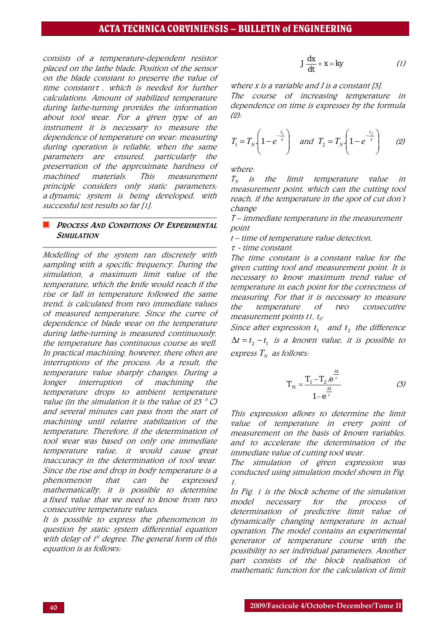## ACTA TECHNICA CORVINIENSIS – BULLETIN of ENGINEERING

consists of a temperature-dependent resistor placed on the lathe blade. Position of the sensor on the blade constant to preserve the value of time constant $\tau$ , which is needed for further calculations. Amount of stabilized temperature during lathe-turning provides the information about tool wear. For a given type of an instrument it is necessary to measure the dependence of temperature on wear; measuring during operation is reliable, when the same parameters are ensured, particularly the preservation of the approximate hardness of machined materials. This measurement principle considers only static parameters; a dynamic system is being developed, with successful test results so far [1].

#### PROCESS AND CONDITIONS OF EXPERIMENTAL **SIMULATION**

Modelling of the system ran discretely with sampling with a specific frequency. During the simulation, a maximum limit value of the temperature, which the knife would reach if the rise or fall in temperature followed the same trend, is calculated from two immediate values of measured temperature. Since the curve of dependence of blade wear on the temperature during lathe-turning is measured continuously, the temperature has continuous course as well. In practical machining, however, there often are interruptions of the process. As a result, the temperature value sharply changes. During a longer interruption of machining the temperature drops to ambient temperature value (in the simulation it is the value of 23  $^{\circ}$  C) and several minutes can pass from the start of machining until relative stabilization of the temperature. Therefore, if the determination of tool wear was based on only one immediate temperature value, it would cause great inaccuracy in the determination of tool wear. Since the rise and drop in body temperature is a phenomenon that can be expressed mathematically, it is possible to determine a fixed value that we need to know from two consecutive temperature values.

It is possible to express the phenomenon in question by static system differential equation with delay of 1st degree. The general form of this equation is as follows:

$$
J\frac{dx}{dt} + x = ky \tag{1}
$$

where x is a variable and J is a constant [3].

The course of increasing temperature in dependence on time is expresses by the formula (2):

$$
T_1 = T_N \left( 1 - e^{-\frac{t_1}{\tau}} \right) \quad \text{and} \quad T_2 = T_N \left( 1 - e^{-\frac{t_2}{\tau}} \right) \tag{2}
$$

where:

 $T_N$  is the limit temperature value in measurement point, which can the cutting tool reach, if the temperature in the spot of cut don't change

T – immediate temperature in the measurement point

t – time of temperature value detection,

τ - time constant.

The time constant is a constant value for the given cutting tool and measurement point. It is necessary to know maximum trend value of temperature in each point for the correctness of measuring. For that it is necessary to measure the temperature of two consecutive measurement points  $t1$ ,  $t<sub>2</sub>$ :

Since after expression  $t_1$  and  $t_2$  the difference  $\Delta t = t_1 - t_1$  is a known value, it is possible to express  $T_N$  as follows:

$$
T_N = \frac{T_1 - T_2 \cdot e^{\frac{\Delta t}{\tau}}}{1 - e^{\frac{\Delta t}{\tau}}}
$$
 (3)

This expression allows to determine the limit value of temperature in every point of measurement on the basis of known variables, and to accelerate the determination of the immediate value of cutting tool wear.

The simulation of given expression was conducted using simulation model shown in Fig. 1.

In Fig. 1 is the block scheme of the simulation model necessary for the process of determination of predictive limit value of dynamically changing temperature in actual operation. The model contains an experimental generator of temperature course with the possibility to set individual parameters. Another part consists of the block realisation of mathematic function for the calculation of limit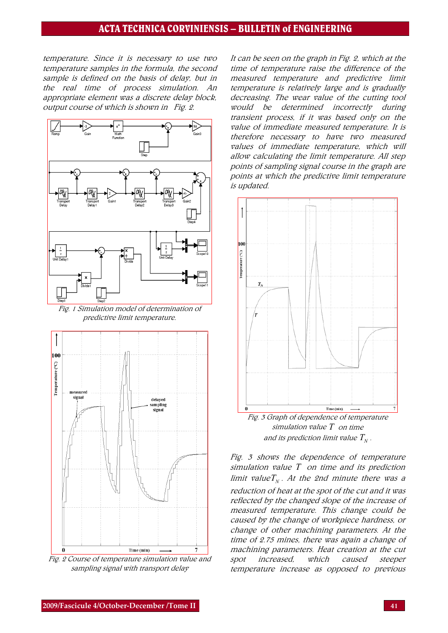# ACTA TECHNICA CORVINIENSIS – BULLETIN of ENGINEERING

temperature. Since it is necessary to use two temperature samples in the formula, the second sample is defined on the basis of delay, but in the real time of process simulation. An appropriate element was a discrete delay block, output course of which is shown in Fig. 2.



Fig. 1 Simulation model of determination of predictive limit temperature.



Fig. 2 Course of temperature simulation value and sampling signal with transport delay

It can be seen on the graph in Fig. 2, which at the time of temperature raise the difference of the measured temperature and predictive limit temperature is relatively large and is gradually decreasing. The wear value of the cutting tool would be determined incorrectly during transient process, if it was based only on the value of immediate measured temperature. It is therefore necessary to have two measured values of immediate temperature, which will allow calculating the limit temperature. All step points of sampling signal course in the graph are points at which the predictive limit temperature is updated.



simulation value *T* on time and its prediction limit value  $T_{N}$ .

Fig. 3 shows the dependence of temperature simulation value *T* on time and its prediction limit value $T_{\scriptscriptstyle N}$ . At the 2nd minute there was a reduction of heat at the spot of the cut and it was reflected by the changed slope of the increase of measured temperature. This change could be caused by the change of workpiece hardness, or change of other machining parameters. At the time of 2.75 mines, there was again a change of machining parameters. Heat creation at the cut spot increased, which caused steeper temperature increase as opposed to previous